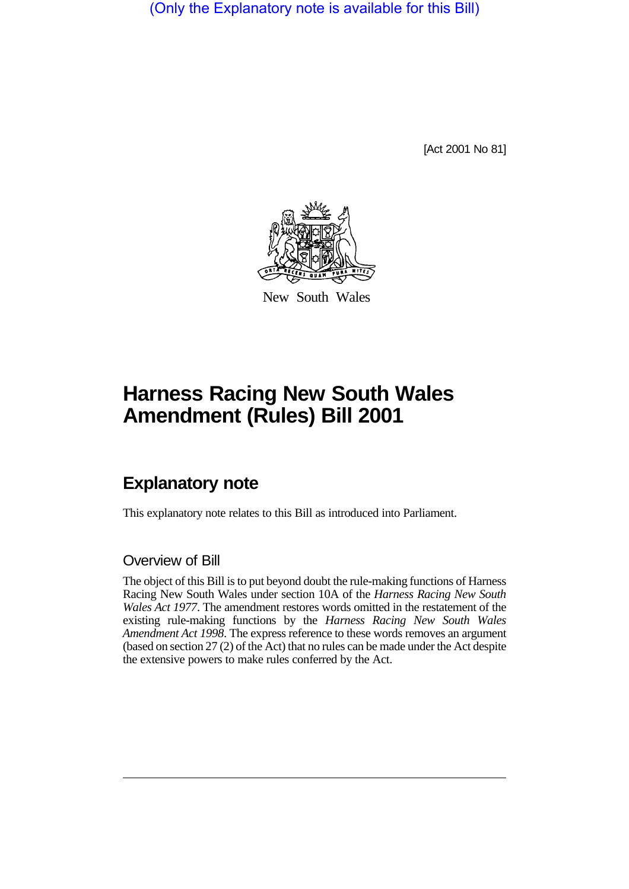(Only the Explanatory note is available for this Bill)

[Act 2001 No 81]



New South Wales

## **Harness Racing New South Wales Amendment (Rules) Bill 2001**

## **Explanatory note**

This explanatory note relates to this Bill as introduced into Parliament.

## Overview of Bill

The object of this Bill is to put beyond doubt the rule-making functions of Harness Racing New South Wales under section 10A of the *Harness Racing New South Wales Act 1977*. The amendment restores words omitted in the restatement of the existing rule-making functions by the *Harness Racing New South Wales Amendment Act 1998*. The express reference to these words removes an argument (based on section 27 (2) of the Act) that no rules can be made under the Act despite the extensive powers to make rules conferred by the Act.